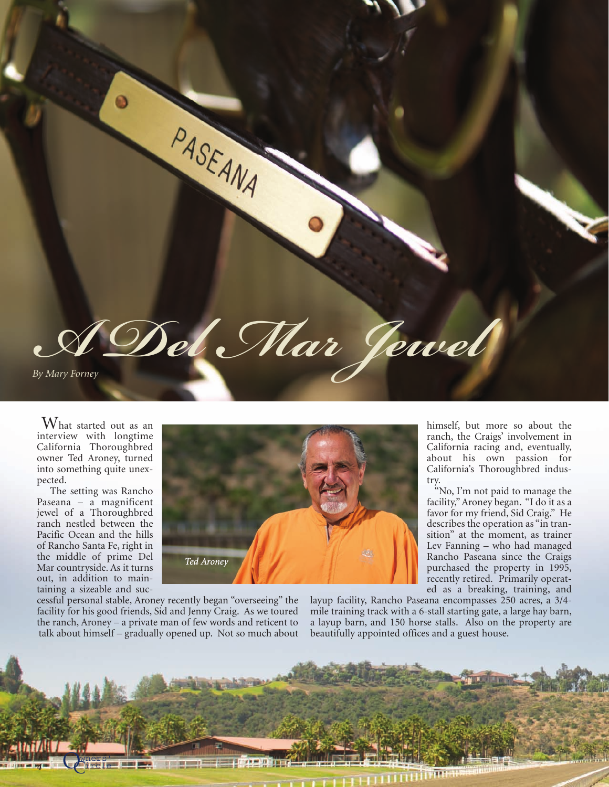PASEANA *A Del Mar Jewel By Mary Forney*

 $\operatorname{W}_{\text{hat}}$  started out as an interview with longtime California Thoroughbred owner Ted Aroney, turned into something quite unexpected.

The setting was Rancho Paseana – a magnificent jewel of a Thoroughbred ranch nestled between the Pacific Ocean and the hills of Rancho Santa Fe, right in the middle of prime Del Mar countryside. As it turns out, in addition to maintaining a sizeable and suc-



cessful personal stable, Aroney recently began "overseeing" the facility for his good friends, Sid and Jenny Craig. As we toured the ranch, Aroney – a private man of few words and reticent to talk about himself – gradually opened up. Not so much about

ed as a breaking, training, and layup facility, Rancho Paseana encompasses 250 acres, a 3/4 mile training track with a 6-stall starting gate, a large hay barn, a layup barn, and 150 horse stalls. Also on the property are beautifully appointed offices and a guest house.

try.

himself, but more so about the ranch, the Craigs' involvement in

California's Thoroughbred indus-

"No, I'm not paid to manage the facility," Aroney began. "I do it as a favor for my friend, Sid Craig." He describes the operation as "in tran-

Rancho Paseana since the Craigs purchased the property in 1995,

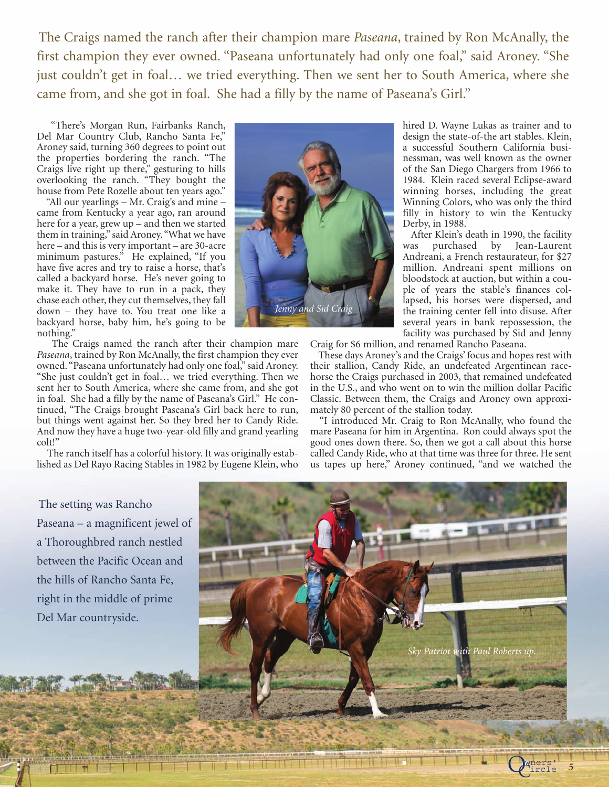The Craigs named the ranch after their champion mare *Paseana*, trained by Ron McAnally, the first champion they ever owned. "Paseana unfortunately had only one foal," said Aroney. "She just couldn't get in foal… we tried everything. Then we sent her to South America, where she came from, and she got in foal. She had a filly by the name of Paseana's Girl."

"There's Morgan Run, Fairbanks Ranch, Del Mar Country Club, Rancho Santa Fe," Aroney said, turning 360 degrees to point out the properties bordering the ranch. "The Craigs live right up there," gesturing to hills overlooking the ranch. "They bought the house from Pete Rozelle about ten years ago."

"All our yearlings – Mr. Craig's and mine – came from Kentucky a year ago, ran around here for a year, grew up – and then we started them in training," said Aroney."What we have here – and this is very important – are 30-acre minimum pastures." He explained, "If you have five acres and try to raise a horse, that's called a backyard horse. He's never going to make it. They have to run in a pack, they chase each other, they cut themselves, they fall down – they have to. You treat one like a backyard horse, baby him, he's going to be nothing."

The Craigs named the ranch after their champion mare *Paseana*, trained by Ron McAnally, the first champion they ever owned. "Paseana unfortunately had only one foal," said Aroney. "She just couldn't get in foal… we tried everything. Then we sent her to South America, where she came from, and she got in foal. She had a filly by the name of Paseana's Girl." He continued, "The Craigs brought Paseana's Girl back here to run, but things went against her. So they bred her to Candy Ride. And now they have a huge two-year-old filly and grand yearling colt!"

The ranch itself has a colorful history. It was originally established as Del Rayo Racing Stables in 1982 by Eugene Klein, who



hired D. Wayne Lukas as trainer and to design the state-of-the art stables. Klein, a successful Southern California businessman, was well known as the owner of the San Diego Chargers from 1966 to 1984. Klein raced several Eclipse-award winning horses, including the great Winning Colors, who was only the third filly in history to win the Kentucky Derby, in 1988.

After Klein's death in 1990, the facility was purchased by Jean-Laurent Andreani, a French restaurateur, for \$27 million. Andreani spent millions on bloodstock at auction, but within a couple of years the stable's finances collapsed, his horses were dispersed, and the training center fell into disuse. After several years in bank repossession, the facility was purchased by Sid and Jenny

Craig for \$6 million, and renamed Rancho Paseana.

These days Aroney's and the Craigs' focus and hopes rest with their stallion, Candy Ride, an undefeated Argentinean racehorse the Craigs purchased in 2003, that remained undefeated in the U.S., and who went on to win the million dollar Pacific Classic. Between them, the Craigs and Aroney own approximately 80 percent of the stallion today.

"I introduced Mr. Craig to Ron McAnally, who found the mare Paseana for him in Argentina. Ron could always spot the good ones down there. So, then we got a call about this horse called Candy Ride, who at that time was three for three. He sent us tapes up here," Aroney continued, "and we watched the

The setting was Rancho Paseana – a magnificent jewel of a Thoroughbred ranch nestled between the Pacific Ocean and the hills of Rancho Santa Fe, right in the middle of prime Del Mar countryside.



ircle *<sup>5</sup>* Owners'

 $\mathfrak{C}$